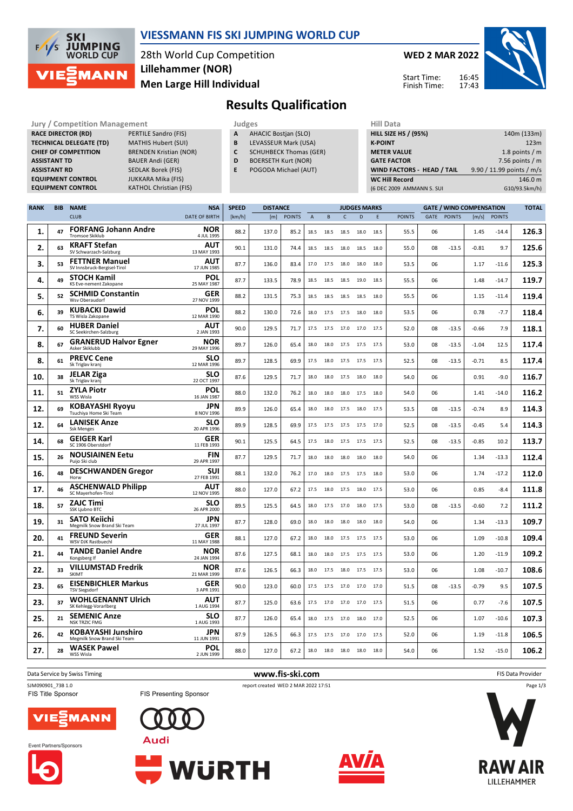

#### **VIESSMANN FIS SKI JUMPING WORLD CUP**

28th World Cup Competition **Men Large Hill Individual Lillehammer (NOR)**

**WED 2 MAR 2022** 16:45 Start Time:

Finish Time:

17:43



**Results Qualification**

**Jury / Competition Management development development of the Judges of American Hill Data RACE DIRECTOR (RD)** PERTILE Sandro (FIS) **TECHNICAL DELEGATE (TD)** MATHIS Hubert (SUI) **CHIEF OF COMPETITION** BRENDEN Kristian (NOR) **ASSISTANT TD** BAUER Andi (GER) **ASSISTANT RD** SEDLAK Borek (FIS)<br>**EQUIPMENT CONTROL** JUKKARA Mika (FIS) **EQUIPMENT CONTROL**<br>**EQUIPMENT CONTROL KATHOL Christian (FIS)** 

- **A** AHACIC Bostjan (SLO)
- **B** LEVASSEUR Mark (USA)
- **C** SCHUHBECK Thomas (GER)
- **D** BOERSETH Kurt (NOR)
- **E** POGODA Michael (AUT)

| 140m (133m)               |
|---------------------------|
| 123m                      |
| 1.8 points $/m$           |
| 7.56 points $/m$          |
| 9.90 / 11.99 points / m/s |
| 146.0 m                   |
| G10/93.5km/h)             |
|                           |

| <b>RANK</b> | <b>BIB</b> | <b>NAME</b>                                              | <b>NSA</b>                | <b>SPEED</b> | <b>DISTANCE</b> |               |                | <b>JUDGES MARKS</b> |                |      | <b>GATE / WIND COMPENSATION</b> |               |      |               | <b>TOTAL</b> |               |       |
|-------------|------------|----------------------------------------------------------|---------------------------|--------------|-----------------|---------------|----------------|---------------------|----------------|------|---------------------------------|---------------|------|---------------|--------------|---------------|-------|
|             |            | <b>CLUB</b>                                              | <b>DATE OF BIRTH</b>      | [km/h]       | [m]             | <b>POINTS</b> | $\overline{A}$ | B                   | $\mathsf{C}$   | D    | E                               | <b>POINTS</b> | GATE | <b>POINTS</b> | [m/s]        | <b>POINTS</b> |       |
| 1.          | 47         | <b>FORFANG Johann Andre</b><br><b>Tromsoe Skiklub</b>    | <b>NOR</b><br>4 JUL 1995  | 88.2         | 137.0           | 85.2          | 18.5           | 18.5                | 18.5           | 18.0 | 18.5                            | 55.5          | 06   |               | 1.45         | $-14.4$       | 126.3 |
| 2.          | 63         | <b>KRAFT Stefan</b><br>SV Schwarzach-Salzburg            | AUT<br>13 MAY 1993        | 90.1         | 131.0           | 74.4          | 18.5           | 18.5                | 18.0           | 18.5 | 18.0                            | 55.0          | 08   | $-13.5$       | $-0.81$      | 9.7           | 125.6 |
| 3.          | 53         | <b>FETTNER Manuel</b><br>SV Innsbruck-Bergisel-Tirol     | AUT<br>17 JUN 1985        | 87.7         | 136.0           | 83.4          | 17.0           | 17.5                | 18.0           | 18.0 | 18.0                            | 53.5          | 06   |               | 1.17         | -11.6         | 125.3 |
| 4.          | 49         | <b>STOCH Kamil</b><br>KS Eve-nement Zakopane             | POL<br>25 MAY 1987        | 87.7         | 133.5           | 78.9          | 18.5           | 18.5                | 18.5           | 19.0 | 18.5                            | 55.5          | 06   |               | 1.48         | $-14.7$       | 119.7 |
| 5.          | 52         | <b>SCHMID Constantin</b><br>Wsv Oberaudorf               | <b>GER</b><br>27 NOV 1999 | 88.2         | 131.5           | 75.3          | 18.5           | 18.5                | 18.5           | 18.5 | 18.0                            | 55.5          | 06   |               | 1.15         | $-11.4$       | 119.4 |
| 6.          | 39         | <b>KUBACKI Dawid</b><br>TS Wisla Zakopane                | POL<br>12 MAR 1990        | 88.2         | 130.0           | 72.6          | 18.0           | 17.5 17.5           |                | 18.0 | 18.0                            | 53.5          | 06   |               | 0.78         | $-7.7$        | 118.4 |
| 7.          | 60         | <b>HUBER Daniel</b><br>SC Seekirchen-Salzburg            | AUT<br>2 JAN 1993         | 90.0         | 129.5           | 71.7          | 17.5           | 17.5                | 17.0           | 17.0 | 17.5                            | 52.0          | 08   | $-13.5$       | $-0.66$      | 7.9           | 118.1 |
| 8.          | 67         | <b>GRANERUD Halvor Egner</b><br>Asker Skiklubb           | NOR<br>29 MAY 1996        | 89.7         | 126.0           | 65.4          | 18.0           | 18.0                | 17.5           | 17.5 | 17.5                            | 53.0          | 08   | $-13.5$       | $-1.04$      | 12.5          | 117.4 |
| 8.          | 61         | <b>PREVC Cene</b><br>Sk Triglav kranj                    | <b>SLO</b><br>12 MAR 1996 | 89.7         | 128.5           | 69.9          | 17.5           |                     | 18.0 17.5 17.5 |      | 17.5                            | 52.5          | 08   | $-13.5$       | $-0.71$      | 8.5           | 117.4 |
| 10.         | 38         | <b>JELAR Ziga</b><br>Sk Triglav kranj                    | <b>SLO</b><br>22 OCT 1997 | 87.6         | 129.5           | 71.7          | 18.0           | 18.0                | 17.5           | 18.0 | 18.0                            | 54.0          | 06   |               | 0.91         | $-9.0$        | 116.7 |
| 11.         | 51         | <b>ZYLA Piotr</b><br>WSS Wisla                           | POL<br>16 JAN 1987        | 88.0         | 132.0           | 76.2          | 18.0           | 18.0                | 18.0           | 17.5 | 18.0                            | 54.0          | 06   |               | 1.41         | $-14.0$       | 116.2 |
| 12.         | 69         | <b>KOBAYASHI Ryoyu</b><br>Tsuchiya Home Ski Team         | <b>JPN</b><br>8 NOV 1996  | 89.9         | 126.0           | 65.4          | 18.0           | 18.0                | 17.5           | 18.0 | 17.5                            | 53.5          | 08   | $-13.5$       | $-0.74$      | 8.9           | 114.3 |
| 12.         | 64         | <b>LANISEK Anze</b><br><b>Ssk Menges</b>                 | <b>SLO</b><br>20 APR 1996 | 89.9         | 128.5           | 69.9          | 17.5           | 17.5                | 17.5           | 17.5 | 17.0                            | 52.5          | 08   | $-13.5$       | $-0.45$      | 5.4           | 114.3 |
| 14.         | 68         | <b>GEIGER Karl</b><br>SC 1906 Oberstdorf                 | GER<br>11 FEB 1993        | 90.1         | 125.5           | 64.5          | 17.5           | 18.0                | 17.5           | 17.5 | 17.5                            | 52.5          | 08   | $-13.5$       | $-0.85$      | 10.2          | 113.7 |
| 15.         | 26         | <b>NOUSIAINEN Eetu</b><br>Puijo Ski club                 | <b>FIN</b><br>29 APR 1997 | 87.7         | 129.5           | 71.7          | 18.0           | 18.0                | 18.0           | 18.0 | 18.0                            | 54.0          | 06   |               | 1.34         | $-13.3$       | 112.4 |
| 16.         | 48         | <b>DESCHWANDEN Gregor</b><br>Horw                        | SUI<br>27 FEB 1991        | 88.1         | 132.0           | 76.2          | 17.0           | 18.0                | 17.5           | 17.5 | 18.0                            | 53.0          | 06   |               | 1.74         | $-17.2$       | 112.0 |
| 17.         | 46         | <b>ASCHENWALD Philipp</b><br>SC Mayerhofen-Tirol         | <b>AUT</b><br>12 NOV 1995 | 88.0         | 127.0           | 67.2          | 17.5           | 18.0 17.5           |                | 18.0 | 17.5                            | 53.0          | 06   |               | 0.85         | $-8.4$        | 111.8 |
| 18.         | 57         | <b>ZAJC Timi</b><br>SSK Ljubno BTC                       | <b>SLO</b><br>26 APR 2000 | 89.5         | 125.5           | 64.5          | 18.0           | 17.5                | 17.0           | 18.0 | 17.5                            | 53.0          | 08   | $-13.5$       | $-0.60$      | 7.2           | 111.2 |
| 19.         | 31         | <b>SATO Keiichi</b><br>Megmilk Snow Brand Ski Team       | <b>JPN</b><br>27 JUL 1997 | 87.7         | 128.0           | 69.0          | 18.0           | 18.0                | 18.0           | 18.0 | 18.0                            | 54.0          | 06   |               | 1.34         | $-13.3$       | 109.7 |
| 20.         | 41         | <b>FREUND Severin</b><br><b>WSV DJK Rastbuechl</b>       | GER<br>11 MAY 1988        | 88.1         | 127.0           | 67.2          | 18.0           |                     | 18.0 17.5 17.5 |      | 17.5                            | 53.0          | 06   |               | 1.09         | $-10.8$       | 109.4 |
| 21.         | 44         | <b>TANDE Daniel Andre</b><br>Kongsberg If                | NOR<br>24 JAN 1994        | 87.6         | 127.5           | 68.1          | 18.0           | 18.0                | 17.5           | 17.5 | 17.5                            | 53.0          | 06   |               | 1.20         | $-11.9$       | 109.2 |
| 22.         | 33         | <b>VILLUMSTAD Fredrik</b><br>SKIMT                       | NOR<br>21 MAR 1999        | 87.6         | 126.5           | 66.3          | 18.0           | 17.5                | 18.0           | 17.5 | 17.5                            | 53.0          | 06   |               | 1.08         | $-10.7$       | 108.6 |
| 23.         | 65         | <b>EISENBICHLER Markus</b><br><b>TSV Siegsdorf</b>       | GER<br>3 APR 1991         | 90.0         | 123.0           | 60.0          | 17.5           | 17.5                | 17.0           | 17.0 | 17.0                            | 51.5          | 08   | $-13.5$       | $-0.79$      | 9.5           | 107.5 |
| 23.         | 37         | <b>WOHLGENANNT Ulrich</b><br>SK Kehlegg-Vorarlberg       | <b>AUT</b><br>1 AUG 1994  | 87.7         | 125.0           | 63.6          | 17.5           | 17.0                | 17.0           | 17.0 | 17.5                            | 51.5          | 06   |               | 0.77         | $-7.6$        | 107.5 |
| 25.         | 21         | <b>SEMENIC Anze</b><br><b>NSK TRZIC FMG</b>              | <b>SLO</b><br>1 AUG 1993  | 87.7         | 126.0           | 65.4          | 18.0           | 17.5 17.0           |                | 18.0 | 17.0                            | 52.5          | 06   |               | 1.07         | $-10.6$       | 107.3 |
| 26.         | 42         | <b>KOBAYASHI Junshiro</b><br>Megmilk Snow Brand Ski Team | <b>JPN</b><br>11 JUN 1991 | 87.9         | 126.5           | 66.3          | 17.5           | 17.5                | 17.0           | 17.0 | 17.5                            | 52.0          | 06   |               | 1.19         | $-11.8$       | 106.5 |
| 27.         | 28         | <b>WASEK Pawel</b><br>WSS Wisla                          | POL<br>2 JUN 1999         | 88.0         | 127.0           | 67.2          | 18.0           | 18.0 18.0           |                | 18.0 | 18.0                            | 54.0          | 06   |               | 1.52         | $-15.0$       | 106.2 |

Data Service by Swiss Timing **WWW.fis-Ski.com www.fis-ski.com WWW.fis-Ski.com FIS Data Provider** 

Event Partners/Sponsors

FIS Title Sponsor









FIS Presenting Sponsor





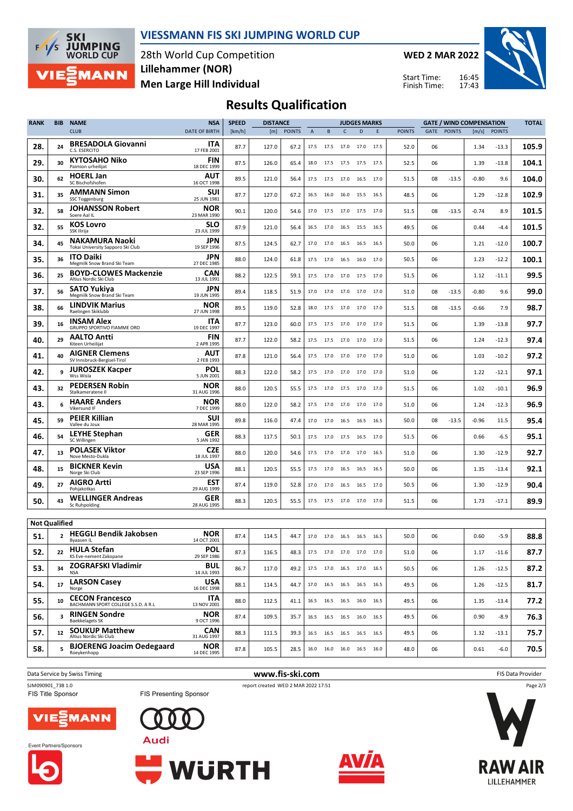

#### **VIESSMANN FIS SKI JUMPING WORLD CUP**

28th World Cup Competition **Men Large Hill Individual Lillehammer (NOR)**

**WED 2 MAR 2022**

Start Time: Finish Time:



# **Results Qualification**

| <b>RANK</b>          | BIB          | <b>NAME</b>                                                   | <b>NSA</b>                | <b>SPEED</b> | <b>DISTANCE</b> |               |             | <b>JUDGES MARKS</b>          |              |                |      |               | <b>GATE / WIND COMPENSATION</b> |               |         |               | <b>TOTAL</b> |
|----------------------|--------------|---------------------------------------------------------------|---------------------------|--------------|-----------------|---------------|-------------|------------------------------|--------------|----------------|------|---------------|---------------------------------|---------------|---------|---------------|--------------|
|                      |              | <b>CLUB</b>                                                   | <b>DATE OF BIRTH</b>      | [km/h]       | [m]             | <b>POINTS</b> | $\mathsf A$ | B                            | $\mathsf{C}$ | D              | E    | <b>POINTS</b> | GATE                            | <b>POINTS</b> | [m/s]   | <b>POINTS</b> |              |
| 28.                  | 24           | <b>BRESADOLA Giovanni</b><br>C.S. ESERCITO                    | ITA<br>17 FEB 2001        | 87.7         | 127.0           | 67.2          | 17.5        | 17.5                         | 17.0         | 17.0           | 17.5 | 52.0          | 06                              |               | 1.34    | $-13.3$       | 105.9        |
| 29.                  | 30           | <b>KYTOSAHO Niko</b><br>Paimion urheilijat                    | <b>FIN</b><br>18 DEC 1999 | 87.5         | 126.0           | 65.4          | 18.0        | 17.5                         | 17.5         | 17.5           | 17.5 | 52.5          | 06                              |               | 1.39    | $-13.8$       | 104.1        |
| 30.                  | 62           | <b>HOERL Jan</b><br>SC Bischofshofen                          | AUT<br>16 OCT 1998        | 89.5         | 121.0           | 56.4          | 17.5        | 17.5                         | 17.0         | 16.5           | 17.0 | 51.5          | 08                              | $-13.5$       | $-0.80$ | 9.6           | 104.0        |
| 31.                  | 35           | <b>AMMANN Simon</b><br>SSC Toggenburg                         | <b>SUI</b><br>25 JUN 1981 | 87.7         | 127.0           | 67.2          | 16.5        | 16.0                         | 16.0         | 15.5           | 16.5 | 48.5          | 06                              |               | 1.29    | -12.8         | 102.9        |
| 32.                  | 58           | <b>JOHANSSON Robert</b><br>Soere Aal IL                       | NOR<br>23 MAR 1990        | 90.1         | 120.0           | 54.6          | 17.0        | 17.5                         |              | 17.0 17.5 17.0 |      | 51.5          | 08                              | $-13.5$       | $-0.74$ | 8.9           | 101.5        |
| 32.                  | 55           | <b>KOS Lovro</b><br>SSK Ilirija                               | <b>SLO</b><br>23 JUL 1999 | 87.9         | 121.0           | 56.4          | 16.5        | 17.0                         | 16.5         | 15.5           | 16.5 | 49.5          | 06                              |               | 0.44    | $-4.4$        | 101.5        |
| 34.                  | 45           | <b>NAKAMURA Naoki</b><br>Tokai University Sapporo Ski Club    | JPN<br>19 SEP 1996        | 87.5         | 124.5           | 62.7          | 17.0        | 17.0                         | 16.5         | 16.5           | 16.5 | 50.0          | 06                              |               | 1.21    | -12.0         | 100.7        |
| 35.                  | 36           | <b>ITO Daiki</b><br>Megmilk Snow Brand Ski Team               | JPN<br>27 DEC 1985        | 88.0         | 124.0           | 61.8          | 17.5        | 17.0                         | 16.5         | 16.0           | 17.0 | 50.5          | 06                              |               | 1.23    | $-12.2$       | 100.1        |
| 36.                  | 25           | <b>BOYD-CLOWES Mackenzie</b><br>Altius Nordic Ski Club        | <b>CAN</b><br>13 JUL 1991 | 88.2         | 122.5           | 59.1          | 17.5        | 17.0 17.0 17.5 17.0          |              |                |      | 51.5          | 06                              |               | 1.12    | $-11.1$       | 99.5         |
| 37.                  | 56           | <b>SATO Yukiya</b><br>Megmilk Snow Brand Ski Team             | <b>JPN</b><br>19 JUN 1995 | 89.4         | 118.5           | 51.9          | 17.0        | 17.0                         | 17.0 17.0    |                | 17.0 | 51.0          | 08                              | $-13.5$       | $-0.80$ | 9.6           | 99.0         |
| 38.                  | 66           | <b>LINDVIK Marius</b><br>Raelingen Skiklubb                   | <b>NOR</b><br>27 JUN 1998 | 89.5         | 119.0           | 52.8          | 18.0        | 17.5                         | 17.0         | 17.0           | 17.0 | 51.5          | 08                              | $-13.5$       | $-0.66$ | 7.9           | 98.7         |
| 39.                  | 16           | <b>INSAM Alex</b><br>GRUPPO SPORTIVO FIAMME ORO               | ITA<br>19 DEC 1997        | 87.7         | 123.0           | 60.0          | 17.5        | 17.5                         | 17.0         | 17.0           | 17.0 | 51.5          | 06                              |               | 1.39    | $-13.8$       | 97.7         |
| 40.                  | 29           | <b>AALTO Antti</b><br>Kiteen Urheilijat                       | <b>FIN</b><br>2 APR 1995  | 87.7         | 122.0           | 58.2          | 17.5        | 17.5                         | 17.0         | 17.0           | 17.0 | 51.5          | 06                              |               | 1.24    | -12.3         | 97.4         |
| 41.                  | 40           | <b>AIGNER Clemens</b><br>SV Innsbruck-Bergisel-Tirol          | AUT<br>2 FEB 1993         | 87.8         | 121.0           | 56.4          | 17.5        | 17.0 17.0 17.0               |              |                | 17.0 | 51.0          | 06                              |               | 1.03    | -10.2         | 97.2         |
| 42.                  | 9            | <b>JUROSZEK Kacper</b><br>Wss Wisla                           | POL<br>5 JUN 2001         | 88.3         | 122.0           | 58.2          | 17.5        | 17.0                         | 17.0 17.0    |                | 17.0 | 51.0          | 06                              |               | 1.22    | $-12.1$       | 97.1         |
| 43.                  | 32           | <b>PEDERSEN Robin</b><br>Stalkameratene II                    | NOR<br>31 AUG 1996        | 88.0         | 120.5           | 55.5          | 17.5        | 17.0                         | 17.5         | 17.0           | 17.0 | 51.5          | 06                              |               | 1.02    | $-10.1$       | 96.9         |
| 43.                  | 6            | <b>HAARE Anders</b><br>Vikersund IF                           | NOR<br>7 DEC 1999         | 88.0         | 122.0           | 58.2          | 17.5        | 17.0                         | 17.0         | 17.0           | 17.0 | 51.0          | 06                              |               | 1.24    | -12.3         | 96.9         |
| 45.                  | 59           | <b>PEIER Killian</b><br>Vallee du Joux                        | <b>SUI</b><br>28 MAR 1995 | 89.8         | 116.0           | 47.4          | 17.0        | 17.0                         | 16.5         | 16.5           | 16.5 | 50.0          | 08                              | $-13.5$       | $-0.96$ | 11.5          | 95.4         |
| 46.                  | 54           | <b>LEYHE Stephan</b><br>SC Willingen                          | GER<br>5 JAN 1992         | 88.3         | 117.5           | 50.1          | 17.5        | 17.0                         | 17.5 16.5    |                | 17.0 | 51.5          | 06                              |               | 0.66    | $-6.5$        | 95.1         |
| 47.                  | 13           | <b>POLASEK Viktor</b><br>Nove Mesto-Dukla                     | <b>CZE</b><br>18 JUL 1997 | 88.0         | 120.0           | 54.6          | 17.5        | 17.0                         | 17.0         | 17.0           | 16.5 | 51.0          | 06                              |               | 1.30    | -12.9         | 92.7         |
| 48.                  | 15           | <b>BICKNER Kevin</b><br>Norge Ski Club                        | USA<br>23 SEP 1996        | 88.1         | 120.5           | 55.5          | 17.5        | 17.0                         | 16.5         | 16.5           | 16.5 | 50.0          | 06                              |               | 1.35    | $-13.4$       | 92.1         |
| 49.                  | 27           | <b>AIGRO Artti</b><br>Pohjakotkas                             | <b>EST</b><br>29 AUG 1999 | 87.4         | 119.0           | 52.8          | 17.0        | 17.0                         | 16.5         | 16.5           | 17.0 | 50.5          | 06                              |               | 1.30    | $-12.9$       | 90.4         |
| 50.                  | 43           | <b>WELLINGER Andreas</b><br>Sc Ruhpolding                     | <b>GER</b><br>28 AUG 1995 | 88.3         | 120.5           | 55.5          |             | 17.5 17.5 17.0 17.0 17.0     |              |                |      | 51.5          | 06                              |               | 1.73    | -17.1         | 89.9         |
| <b>Not Qualified</b> |              |                                                               |                           |              |                 |               |             |                              |              |                |      |               |                                 |               |         |               |              |
| 51.                  | $\mathbf{2}$ | <b>HEGGLI Bendik Jakobsen</b><br>Byaasen IL                   | <b>NOR</b><br>14 OCT 2001 | 87.4         | 114.5           | 44.7          | 17.0        | 17.0                         | 16.5 16.5    |                | 16.5 | 50.0          | 06                              |               | 0.60    | $-5.9$        | 88.8         |
| 52.                  | 22           | <b>HULA Stefan</b><br>KS Eve-nement Zakopane                  | POL<br>29 SEP 1986        | 87.3         | 116.5           | 48.3          |             | 17.5 17.0 17.0 17.0 17.0     |              |                |      | 51.0          | 06                              |               | 1.17    | $-11.6$       | 87.7         |
| 53.                  | 34           | ZOGRAFSKI Vladimir<br><b>NSA</b>                              | <b>BUL</b><br>14 JUL 1993 | 86.7         | 117.0           | 49.2          |             | 17.5 17.0 16.5 17.0 16.5     |              |                |      | 50.5          | 06                              |               | 1.26    | $-12.5$       | 87.2         |
| 54.                  | 17           | <b>LARSON Casey</b><br>Norge                                  | USA<br>16 DEC 1998        | 88.1         | 114.5           | 44.7          |             | 17.0  16.5  16.5  16.5  16.5 |              |                |      | 49.5          | 06                              |               | 1.26    | $-12.5$       | 81.7         |
| 55.                  | 10           | <b>CECON Francesco</b><br>BACHMANN SPORT COLLEGE S.S.D. A R.L | <b>ITA</b><br>13 NOV 2001 | 88.0         | 112.5           | 41.1          | 16.5        | 16.5 16.5 16.0 16.5          |              |                |      | 49.5          | 06                              |               | 1.35    | $-13.4$       | 77.2         |
| 56.                  | 3            | <b>RINGEN Sondre</b><br><b>Baekkelagets SK</b>                | <b>NOR</b><br>9 OCT 1996  | 87.4         | 109.5           | 35.7          |             | 16.5 16.5 16.5 16.0 16.5     |              |                |      | 49.5          | 06                              |               | 0.90    | $-8.9$        | 76.3         |
| 57.                  | 12           | <b>SOUKUP Matthew</b><br>Altius Nordic Ski Club               | <b>CAN</b><br>31 AUG 1997 | 88.3         | 111.5           | 39.3          |             | 16.5 16.5 16.5 16.5 16.5     |              |                |      | 49.5          | 06                              |               | 1.32    | $-13.1$       | 75.7         |
| 58.                  | 5            | <b>BJOERENG Joacim Oedegaard</b><br>Roeykenhopp               | <b>NOR</b><br>14 DEC 1995 | 87.8         | 105.5           | 28.5          |             | 16.0 16.0 16.0 16.5 16.0     |              |                |      | 48.0          | 06                              |               | 0.61    | $-6.0$        | 70.5         |
|                      |              |                                                               |                           |              |                 |               |             |                              |              |                |      |               |                                 |               |         |               |              |